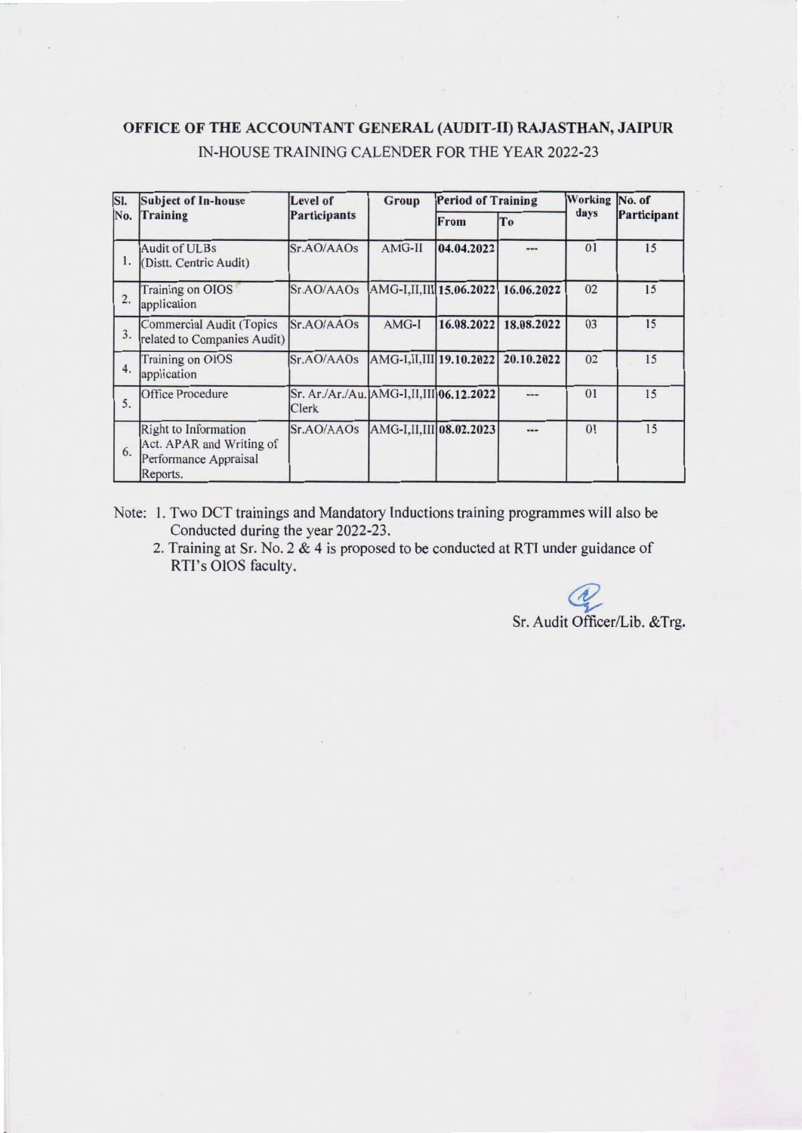### OFFICE OF THE ACCOUNTANT GENERAL (AUDIT-II) RAJASTHAN, JAlPUR IN-HOUSE TRAINING CALENDER FOR THE YEAR 2022-23

I -

| SI.<br>No. | <b>Subject of In-house</b><br>Training                                                | Level of<br><b>Participants</b>                         | Group                     | <b>Period of Training</b> |            | Working No. of |             |
|------------|---------------------------------------------------------------------------------------|---------------------------------------------------------|---------------------------|---------------------------|------------|----------------|-------------|
|            |                                                                                       |                                                         |                           | <b>From</b>               | To         | days           | Participant |
| 1.         | Audit of ULBs<br>(Distt. Centric Audit)                                               | Sr.AO/AAOs                                              | AMG-II                    | 04.04.2022                | ---        | 01             | 15          |
| 2.         | Training on OIOS<br>application                                                       | Sr.AO/AAOs                                              | AMG-I,II,III 15.06.2022   |                           | 16.06.2022 | 02             | 15          |
| 3.         | Commercial Audit (Topics<br>related to Companies Audit)                               | Sr.AO/AAOs                                              | AMG-I                     | 16.08.2022                | 18.08.2022 | 03             | 15          |
| 4.         | <b>Training on OIOS</b><br>application                                                | Sr.AO/AAOs                                              | AMG-I, II, III 19.10.2022 |                           | 20.10.2022 | 02             | 15          |
| 5.         | Office Procedure                                                                      | Sr. Ar./Ar./Au. AMG-I,II,III 06.12.2022<br><b>Clerk</b> |                           |                           |            | 01             | 15          |
| 6.         | Right to Information<br>Act. APAR and Writing of<br>Performance Appraisal<br>Reports. | Sr.AO/AAOs                                              | AMG-I,II,III 08.02.2023   |                           | ---        | 01             | 15          |

Note: 1. Two OCT trainings and Mandatory Inductions training programmes will also be Conducted during the year 2022-23.

2. Training at Sr. No.2 & 4 is proposed to be conducted at RTI under guidance of RTI's OIOS faculty.

~ Sr. Audit Officer/Lib. &Trg.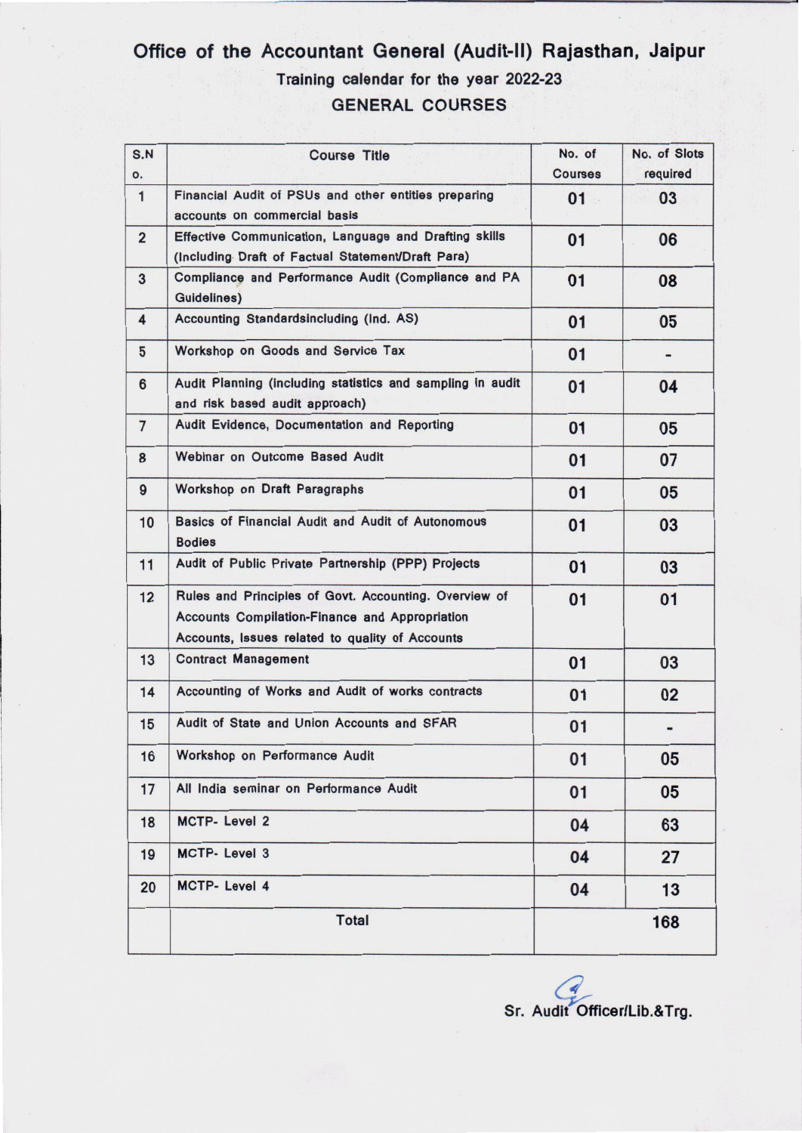## Office of the Accountant General (Audit-II) Rajasthan, Jaipur Training calendar for the year 2022-23 GENERAL COURSES

| S.N<br>0.      | <b>Course Title</b>                                                                                                                                               | No. of<br><b>Courses</b> | No. of Slots<br>required |
|----------------|-------------------------------------------------------------------------------------------------------------------------------------------------------------------|--------------------------|--------------------------|
| $\overline{1}$ | Financial Audit of PSUs and other entities preparing<br>accounts on commercial basis                                                                              | 01                       | 03                       |
| $\overline{2}$ | Effective Communication, Language and Drafting skills<br>(Including Draft of Factual Statement/Draft Para)                                                        | 01                       | 06                       |
| 3              | Compliance and Performance Audit (Compliance and PA<br>Guidelines)                                                                                                | 01                       | 08                       |
| 4              | Accounting Standardsincluding (Ind. AS)                                                                                                                           | 01                       | 05                       |
| 5              | Workshop on Goods and Service Tax                                                                                                                                 | 01                       | ۰                        |
| 6              | Audit Planning (including statistics and sampling in audit<br>01<br>and risk based audit approach)                                                                |                          | 04                       |
| $\overline{7}$ | Audit Evidence, Documentation and Reporting                                                                                                                       | 01                       | 05                       |
| 8              | <b>Webinar on Outcome Based Audit</b>                                                                                                                             | 01                       | 07                       |
| $\overline{9}$ | Workshop on Draft Paragraphs                                                                                                                                      | 01                       | 05                       |
| 10             | Basics of Financial Audit and Audit of Autonomous<br><b>Bodies</b>                                                                                                | 01                       | 03                       |
| 11             | Audit of Public Private Partnership (PPP) Projects                                                                                                                | 01                       | 03                       |
| 12             | Rules and Principles of Govt. Accounting. Overview of<br><b>Accounts Compilation-Finance and Appropriation</b><br>Accounts, Issues related to quality of Accounts | 01                       | 01                       |
| 13             | <b>Contract Management</b>                                                                                                                                        | 01                       | 03                       |
| 14             | Accounting of Works and Audit of works contracts                                                                                                                  | 01                       | 02                       |
| 15             | Audit of State and Union Accounts and SFAR                                                                                                                        | 01                       |                          |
| 16             | Workshop on Performance Audit                                                                                                                                     | 01                       | 05                       |
| 17             | All India seminar on Performance Audit                                                                                                                            | 01                       | 05                       |
| 18             | MCTP- Level 2                                                                                                                                                     | 04                       | 63                       |
| 19             | <b>MCTP-Level 3</b>                                                                                                                                               | 04                       | 27                       |
| 20             | MCTP- Level 4                                                                                                                                                     | 04                       | 13                       |
|                | <b>Total</b>                                                                                                                                                      |                          | 168                      |

Sr. Audit Officer/Lib.& Trg.